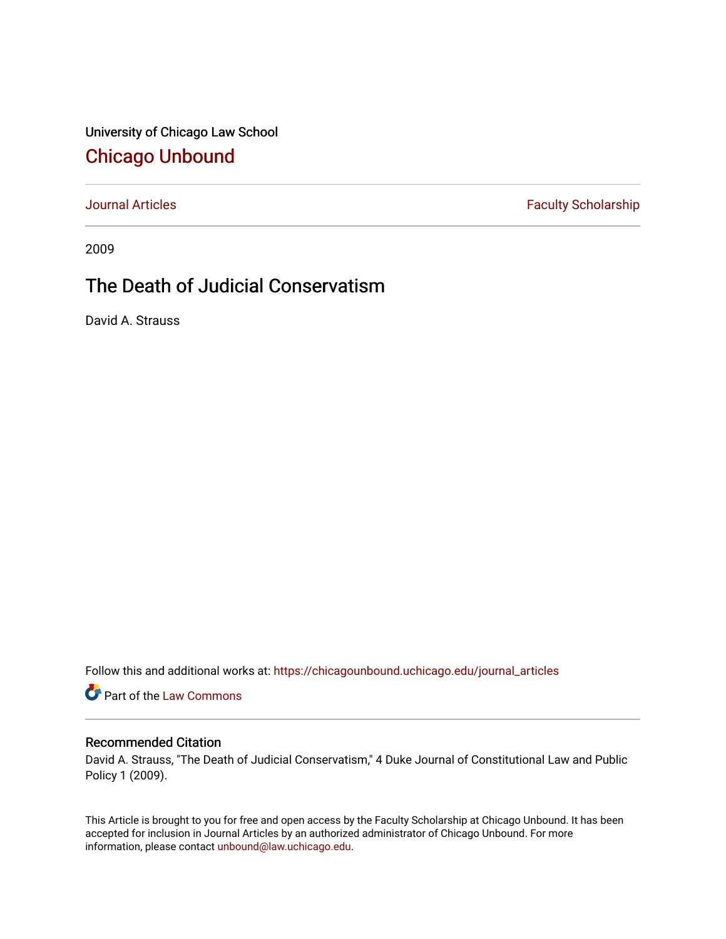University of Chicago Law School [Chicago Unbound](https://chicagounbound.uchicago.edu/)

[Journal Articles](https://chicagounbound.uchicago.edu/journal_articles) **Faculty Scholarship Faculty Scholarship** 

2009

## The Death of Judicial Conservatism

David A. Strauss

Follow this and additional works at: [https://chicagounbound.uchicago.edu/journal\\_articles](https://chicagounbound.uchicago.edu/journal_articles?utm_source=chicagounbound.uchicago.edu%2Fjournal_articles%2F6779&utm_medium=PDF&utm_campaign=PDFCoverPages) 

Part of the [Law Commons](http://network.bepress.com/hgg/discipline/578?utm_source=chicagounbound.uchicago.edu%2Fjournal_articles%2F6779&utm_medium=PDF&utm_campaign=PDFCoverPages)

## Recommended Citation

David A. Strauss, "The Death of Judicial Conservatism," 4 Duke Journal of Constitutional Law and Public Policy 1 (2009).

This Article is brought to you for free and open access by the Faculty Scholarship at Chicago Unbound. It has been accepted for inclusion in Journal Articles by an authorized administrator of Chicago Unbound. For more information, please contact [unbound@law.uchicago.edu](mailto:unbound@law.uchicago.edu).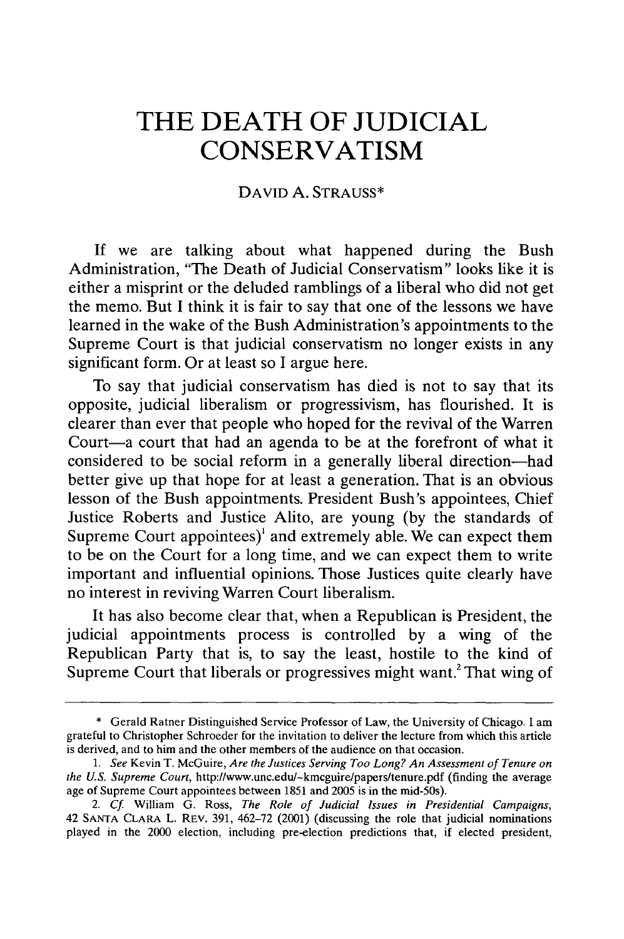## **THE DEATH OF JUDICIAL CONSERVATISM**

## DAVID A. STRAUSS\*

If we are talking about what happened during the Bush Administration, 'The Death of Judicial Conservatism" looks like it is either a misprint or the deluded ramblings of a liberal who did not get the memo. But I think it is fair to say that one of the lessons we have learned in the wake of the Bush Administration's appointments to the Supreme Court is that judicial conservatism no longer exists in any significant form. Or at least so I argue here.

To say that judicial conservatism has died is not to say that its opposite, judicial liberalism or progressivism, has flourished. It is clearer than ever that people who hoped for the revival of the Warren Court-a court that had an agenda to be at the forefront of what it considered to be social reform in a generally liberal direction-had better give up that hope for at least a generation. That is an obvious lesson of the Bush appointments. President Bush's appointees, Chief Justice Roberts and Justice Alito, are young (by the standards of Supreme Court appointees)' and extremely able. We can expect them to be on the Court for a long time, and we can expect them to write important and influential opinions. Those Justices quite clearly have no interest in reviving Warren Court liberalism.

It has also become clear that, when a Republican is President, the judicial appointments process is controlled by a wing of the Republican Party that is, to say the least, hostile to the kind of Supreme Court that liberals or progressives might want.<sup>2</sup> That wing of

<sup>\*</sup> Gerald Ratner Distinguished Service Professor of Law, the University of Chicago. I am grateful to Christopher Schroeder for the invitation to deliver the lecture from which this article is derived, and to him and the other members of the audience on that occasion.

*<sup>1.</sup> See* Kevin **T.** McGuire, *Are the Justices Serving Too Long? An Assessment of Tenure on the U.S. Supreme Court,* http://www.unc.edu/-kmcguire/papers/tenure.pdf (finding the average age of Supreme Court appointees between 1851 and **2005** is in the mid-50s).

*<sup>2.</sup>* Cf William G. Ross, *The Role of Judicial Issues in Presidential Campaigns,* 42 **SANTA** CLARA L. REV. **391,** 462-72 (2001) (discussing the role that judicial nominations played in the 2000 election, including pre-election predictions that, if elected president,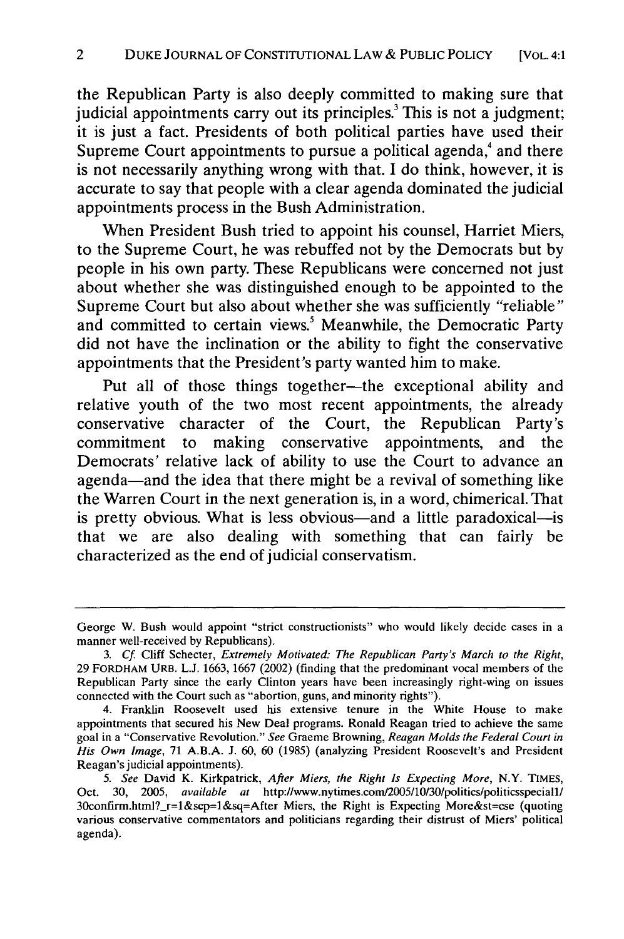the Republican Party is also deeply committed to making sure that judicial appointments carry out its principles.<sup>3</sup> This is not a judgment; it is just a fact. Presidents of both political parties have used their Supreme Court appointments to pursue a political agenda,<sup>4</sup> and there is not necessarily anything wrong with that. I do think, however, it is accurate to say that people with a clear agenda dominated the judicial appointments process in the Bush Administration.

When President Bush tried to appoint his counsel, Harriet Miers, to the Supreme Court, he was rebuffed not by the Democrats but by people in his own party. These Republicans were concerned not just about whether she was distinguished enough to be appointed to the Supreme Court but also about whether she was sufficiently "reliable" and committed to certain views.<sup>5</sup> Meanwhile, the Democratic Party did not have the inclination or the ability to fight the conservative appointments that the President's party wanted him to make.

Put all of those things together—the exceptional ability and relative youth of the two most recent appointments, the already conservative character of the Court, the Republican Party's commitment to making conservative appointments, and the Democrats' relative lack of ability to use the Court to advance an agenda-and the idea that there might be a revival of something like the Warren Court in the next generation is, in a word, chimerical. That is pretty obvious. What is less obvious—and a little paradoxical—is that we are also dealing with something that can fairly be characterized as the end of judicial conservatism.

George W. Bush would appoint "strict constructionists" who would likely decide cases in a manner well-received by Republicans).

*<sup>3.</sup> Cf* Cliff Schecter, Extremely Motivated: *The Republican Party's March to the Right,* 29 FORDHAM URB. L.J. 1663, 1667 (2002) (finding that the predominant vocal members of the Republican Party since the early Clinton years have been increasingly right-wing on issues connected with the Court such as "abortion, guns, and minority rights").

<sup>4.</sup> Franklin Roosevelt used his extensive tenure in the White House to make appointments that secured his New Deal programs. Ronald Reagan tried to achieve the same goal in a "Conservative Revolution." *See* Graeme Browning, *Reagan Molds the Federal Court in His Own Image,* 71 A.B.A. J. 60, 60 (1985) (analyzing President Roosevelt's and President Reagan's judicial appointments).

*<sup>5.</sup> See* David K. Kirkpatrick, *After Miers, the Right Is Expecting More,* N.Y. TIMES, Oct. 30, 2005, *available at* http://www.nytimes.com2005/10/30/politics/politicsspeciall/ 30confirm.html?\_r=l&scp=l&sq=After Miers, the Right is Expecting More&st=cse (quoting various conservative commentators and politicians regarding their distrust of Miers' political agenda).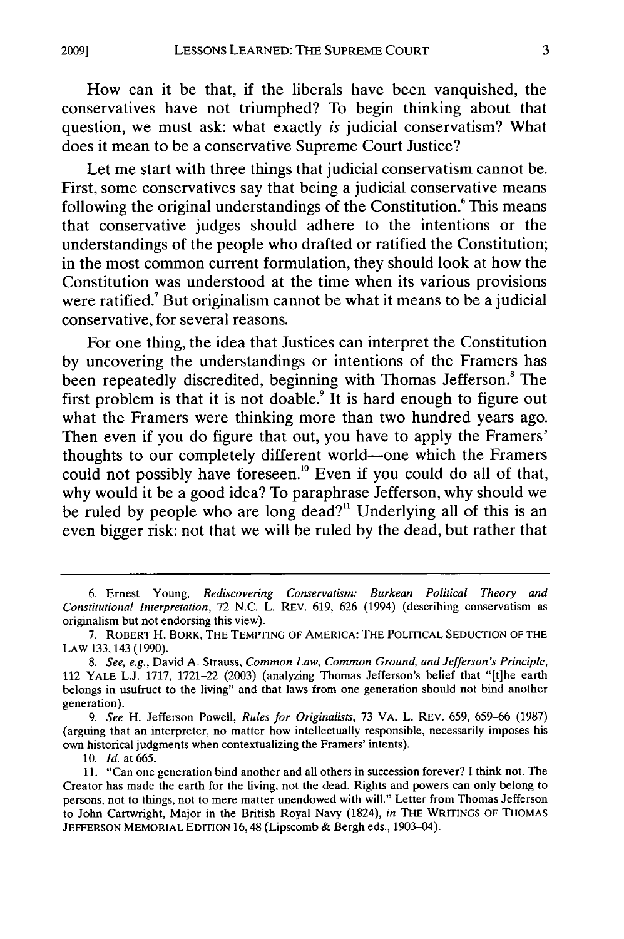How can it be that, if the liberals have been vanquished, the conservatives have not triumphed? To begin thinking about that question, we must ask: what exactly is judicial conservatism? What does it mean to be a conservative Supreme Court Justice?

Let me start with three things that judicial conservatism cannot be. First, some conservatives say that being a judicial conservative means following the original understandings of the Constitution.<sup>6</sup> This means that conservative judges should adhere to the intentions or the understandings of the people who drafted or ratified the Constitution; in the most common current formulation, they should look at how the Constitution was understood at the time when its various provisions were ratified.<sup>7</sup> But originalism cannot be what it means to be a judicial conservative, for several reasons.

For one thing, the idea that Justices can interpret the Constitution **by** uncovering the understandings or intentions of the Framers has been repeatedly discredited, beginning with Thomas Jefferson.<sup>8</sup> The first problem is that it is not doable.<sup>9</sup> It is hard enough to figure out what the Framers were thinking more than two hundred years ago. Then even if you do figure that out, you have to apply the Framers' thoughts to our completely different world-one which the Framers could not possibly have foreseen.<sup>10</sup> Even if you could do all of that, why would it be a good idea? To paraphrase Jefferson, why should we be ruled **by** people who are long dead?" Underlying all of this is an even bigger risk: not that we will be ruled **by** the dead, but rather that

*9. See* H. Jefferson Powell, *Rules for Originalists,* 73 VA. L. REV. 659, 659-66 (1987) (arguing that an interpreter, no matter how intellectually responsible, necessarily imposes his own historical judgments when contextualizing the Framers' intents).

10. *Id.* at 665.

**2009]**

<sup>6.</sup> Ernest Young, *Rediscovering Conservatism: Burkean Political Theory and Constitutional Interpretation,* 72 N.C. L. REV. 619, 626 (1994) (describing conservatism as originalism but not endorsing this view).

<sup>7.</sup> ROBERT H. BORK, THE TEMPTING OF AMERICA: THE POLITICAL SEDUCTION OF THE LAW 133, 143 (1990).

*<sup>8.</sup> See, e.g.,* David A. Strauss, *Common Law, Common Ground, and Jefferson's Principle,* 112 YALE **L.J.** 1717, 1721-22 (2003) (analyzing Thomas Jefferson's belief that "[t]he earth belongs in usufruct to the living" and that laws from one generation should not bind another generation).

<sup>11. &</sup>quot;Can one generation bind another and all others in succession forever? **I** think not. The Creator has made the earth for the living, not the dead. Rights and powers can only belong to persons, not to things, not to mere matter unendowed with will." Letter from Thomas Jefferson to John Cartwright, Major in the British Royal Navy (1824), *in* THE WRITINGS OF THOMAS **JEFFERSON** MEMORIAL **EDITION** 16,48 (Lipscomb & Bergh eds., 1903-04).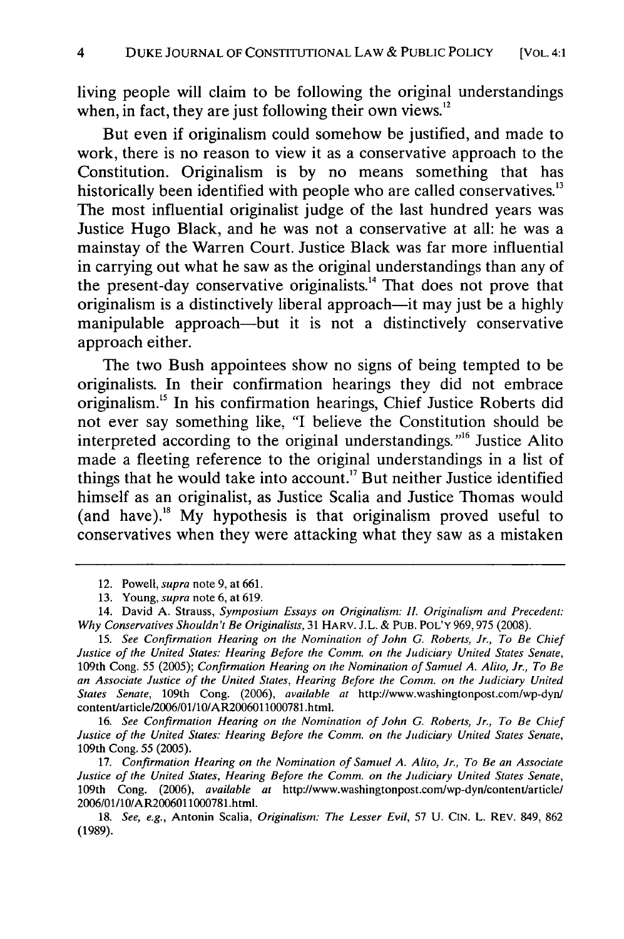living people will claim to be following the original understandings when, in fact, they are just following their own views. $12$ 

But even if originalism could somehow be justified, and made to work, there is no reason to view it as a conservative approach to the Constitution. Originalism is by no means something that has historically been identified with people who are called conservatives.<sup>13</sup> The most influential originalist judge of the last hundred years was Justice Hugo Black, and he was not a conservative at all: he was a mainstay of the Warren Court. Justice Black was far more influential in carrying out what he saw as the original understandings than any of the present-day conservative originalists.<sup>14</sup> That does not prove that originalism is a distinctively liberal approach-it may just be a highly manipulable approach-but it is not a distinctively conservative approach either.

The two Bush appointees show no signs of being tempted to be originalists. In their confirmation hearings they did not embrace originalism.15 In his confirmation hearings, Chief Justice Roberts did not ever say something like, "I believe the Constitution should be interpreted according to the original understandings."<sup>16</sup> Justice Alito made a fleeting reference to the original understandings in a list of things that he would take into account.<sup>17</sup> But neither Justice identified himself as an originalist, as Justice Scalia and Justice Thomas would (and have).<sup>18</sup> My hypothesis is that originalism proved useful to conservatives when they were attacking what they saw as a mistaken

16. *See Confirmation Hearing on the Nomination of John G. Roberts, Jr., To Be Chief Justice of the United States: Hearing Before the Comm. on the Judiciary United States Senate,* 109th Cong. 55 (2005).

17. *Confirmation Hearing on the Nomination of Samuel A. Alito, Jr., To Be an Associate Justice of the United States, Hearing Before the Comm. on the Judiciary United States Senate,* 109th Cong. (2006), *available at* http://www.washingtonpost.com/wp-dyn/contentarticle/ 2006/01/10/AR2006011000781.html.

18. *See, e.g.,* Antonin Scalia, *Originalism: The Lesser Evil,* 57 U. CIN. L. REV. 849, 862 **(1989).**

<sup>12.</sup> Powell, supra note 9, at 661.

<sup>13.</sup> Young, *supra* note 6, at 619.

<sup>14.</sup> David A. Strauss, *Symposium Essays on Originalism: IL Originalism and Precedent: Why Conservatives Shouldn't Be Originalists,* 31 HARV. J.L. & PUB. POL'Y 969,975 (2008).

<sup>15.</sup> *See Confirmation Hearing on the Nomination of John G. Roberts, Jr., To Be Chief Justice of the United States: Hearing Before the Comm. on the Judiciary United States Senate,* 109th Cong. 55 (2005); *Confirmation Hearing on the Nomination of Samuel A. Alito, Jr., To Be an Associate Justice of the United States, Hearing Before the Comm. on the Judiciary United States Senate,* 109th Cong. (2006), *available at* http://www.washingtonpost.com/wp-dyn/ contentarticle2006101/10/AR2006011000781 .html.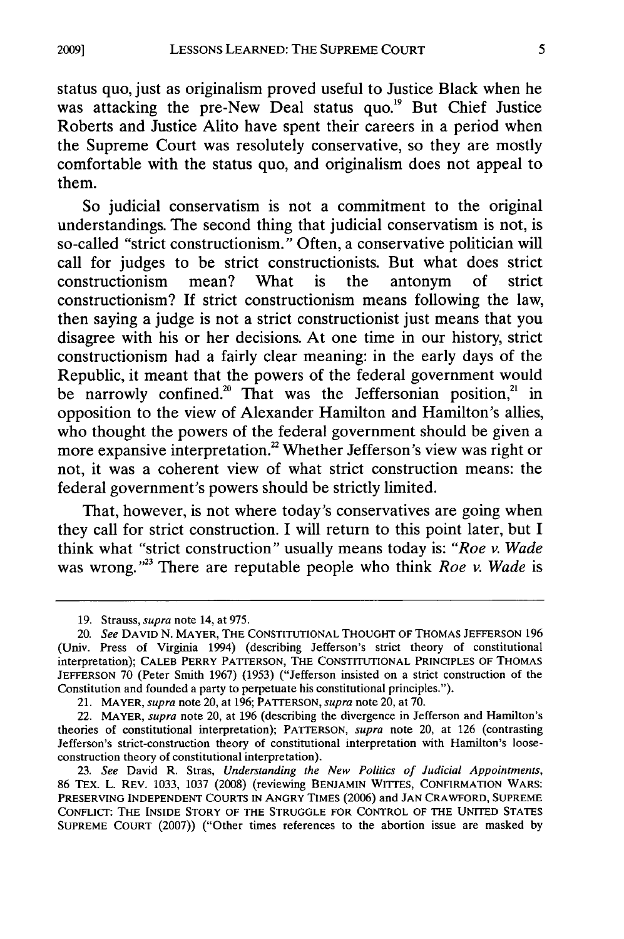status quo, just as originalism proved useful to Justice Black when he was attacking the pre-New Deal status quo.<sup>19</sup> But Chief Justice Roberts and Justice Alito have spent their careers in a period when the Supreme Court was resolutely conservative, so they are mostly comfortable with the status quo, and originalism does not appeal to them.

So judicial conservatism is not a commitment to the original understandings. The second thing that judicial conservatism is not, is so-called "strict constructionism." Often, a conservative politician will call for judges to be strict constructionists. But what does strict constructionism mean? What is the antonym of strict constructionism? If strict constructionism means following the law, then saying a judge is not a strict constructionist just means that you disagree with his or her decisions. At one time in our history, strict constructionism had a fairly clear meaning: in the early days of the Republic, it meant that the powers of the federal government would be narrowly confined.<sup>20</sup> That was the Jeffersonian position,<sup>21</sup> in opposition to the view of Alexander Hamilton and Hamilton's allies, who thought the powers of the federal government should be given a more expansive interpretation.<sup>22</sup> Whether Jefferson's view was right or not, it was a coherent view of what strict construction means: the federal government's powers should be strictly limited.

That, however, is not where today's conservatives are going when they call for strict construction. I will return to this point later, but I think what "strict construction" usually means today is: *"Roe v. Wade* was wrong.<sup>33</sup> There are reputable people who think *Roe v. Wade* is

<sup>19.</sup> Strauss, *supra* note 14, at 975.

<sup>20.</sup> *See* **DAVID N.** MAYER, THE **CONSTITUTIONAL THOUGHT** OF **THOMAS JEFFERSON 196** (Univ. Press of Virginia 1994) (describing Jefferson's strict theory of constitutional interpretation); CALEB PERRY PATTERSON, THE CONSTITUTIONAL PRINCIPLES OF THOMAS JEFFERSON 70 (Peter Smith 1967) (1953) ("Jefferson insisted on a strict construction of the Constitution and founded a party to perpetuate his constitutional principles.").

<sup>21.</sup> MAYER, *supra* note 20, at 196; PATTERSON, *supra* note 20, at 70.

<sup>22.</sup> MAYER, *supra* note 20, at 196 (describing the divergence in Jefferson and Hamilton's theories of constitutional interpretation); PATTERSON, *supra* note 20, at 126 (contrasting Jefferson's strict-construction theory of constitutional interpretation with Hamilton's looseconstruction theory of constitutional interpretation).

<sup>23.</sup> *See* David R. Stras, *Understanding the New Politics of Judicial Appointments,* 86 TEx. L. REV. 1033, 1037 (2008) (reviewing BENJAMIN WIrES, **CONFIRMATION** WARS: PRESERVING **INDEPENDENT COURTS** IN **ANGRY** TIMES **(2006)** and **JAN** CRAWFORD, **SUPREME** CONFLICT: **THE** INSIDE STORY OF THE **STRUGGLE** FOR CONTROL OF THE **UNITED STATES SUPREME COURT (2007))** ("Other times references to the abortion issue are masked **by**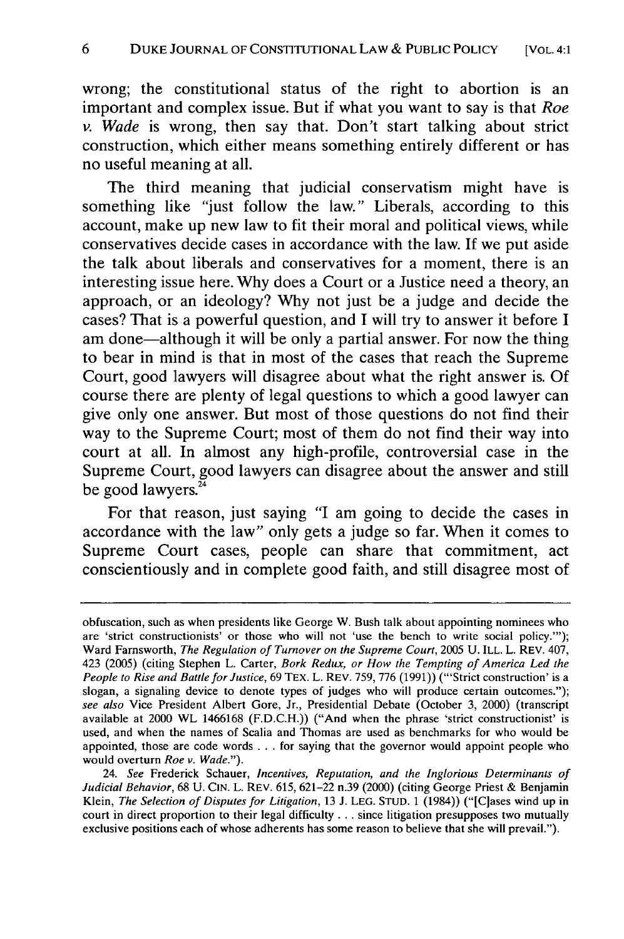wrong; the constitutional status of the right to abortion is an important and complex issue. But if what you want to say is that *Roe v. Wade* is wrong, then say that. Don't start talking about strict construction, which either means something entirely different or has no useful meaning at all.

The third meaning that judicial conservatism might have is something like **"just** follow the law." Liberals, according to this account, make up new law to fit their moral and political views, while conservatives decide cases in accordance with the law. If we put aside the talk about liberals and conservatives for a moment, there is an interesting issue here. **Why** does a Court or a Justice need a theory, an approach, or an ideology? **Why** not just be a judge and decide the cases? That is a powerful question, and **I** will try to answer it before **I** am done-although it will be only a partial answer. For now the thing to bear in mind is that in most of the cases that reach the Supreme Court, good lawyers will disagree about what the right answer is. **Of** course there are plenty of legal questions to which a good lawyer can give only one answer. But most of those questions do not find their way to the Supreme Court; most of them do not find their way into court at all. In almost any high-profile, controversial case in the Supreme Court, good lawyers can disagree about the answer and still be good lawyers. $2^2$ 

For that reason, just saying **"I** am going to decide the cases in accordance with the law" only gets a judge so far. When it comes to Supreme Court cases, people can share that commitment, act conscientiously and in complete good faith, and still disagree most of

obfuscation, such as when presidents like George **W.** Bush talk about appointing nominees who are 'strict constructionists' or those who will not 'use the bench to write social policy."'); Ward Farnsworth, *The Regulation of Turnover on the Supreme Court,* 2005 U. ILL. L. REV. 407, 423 (2005) (citing Stephen L. Carter, *Bork Redux, or How the Tempting of America Led the People to Rise and Battle for Justice,* 69 TEX. L. REV. 759, 776 (1991)) ("'Strict construction' is a slogan, a signaling device to denote types of judges who will produce certain outcomes."); *see also* Vice President Albert Gore, Jr., Presidential Debate (October 3, 2000) (transcript available at 2000 WL 1466168 (F.D.C.H.)) ("And when the phrase 'strict constructionist' is used, and when the names of Scalia and Thomas are used as benchmarks for who would be appointed, those are code words . . . for saying that the governor would appoint people who would overturn *Roe v. Wade.").*

<sup>24.</sup> *See* Frederick Schauer, *Incentives, Reputation, and the Inglorious Determinants of Judicial Behavior,* 68 U. **CIN.** L. REV. 615, 621-22 n.39 (2000) (citing George Priest & Benjamin Klein, *The Selection of Disputes for Litigation*, 13 J. LEG. STUD. 1 (1984)) ("[C]ases wind up in court in direct proportion to their legal difficulty **...** since litigation presupposes two mutually exclusive positions each of whose adherents has some reason to believe that she will prevail.").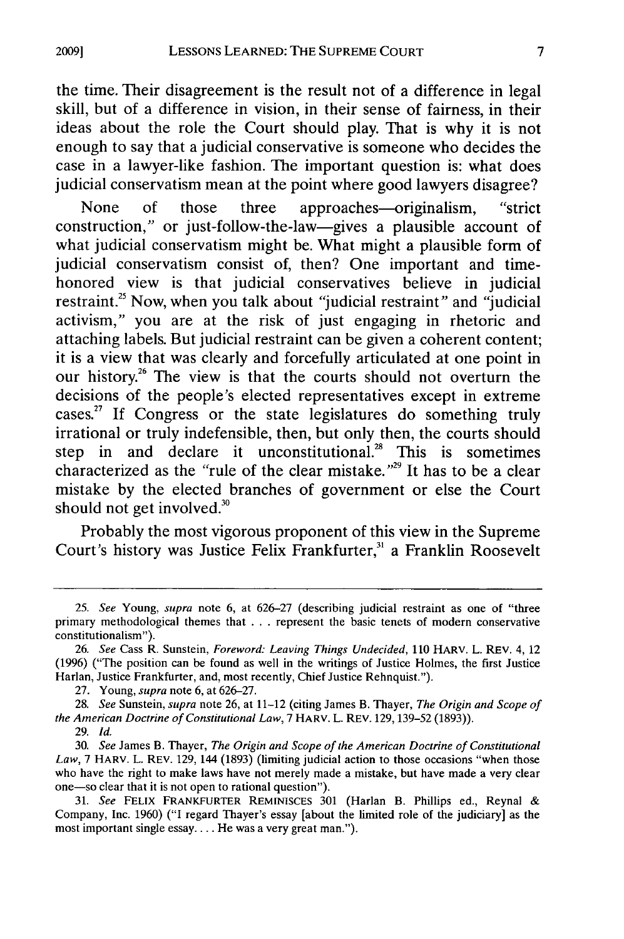the time. Their disagreement is the result not of a difference in legal skill, but of a difference in vision, in their sense of fairness, in their ideas about the role the Court should play. That is why it is not enough to say that a judicial conservative is someone who decides the case in a lawyer-like fashion. The important question is: what does judicial conservatism mean at the point where good lawyers disagree?

None of those three approaches—originalism, "strict construction," or just-follow-the-law-gives a plausible account of what judicial conservatism might be. What might a plausible form of judicial conservatism consist of, then? One important and timehonored view is that judicial conservatives believe in judicial restraint.<sup>25</sup> Now, when you talk about "judicial restraint" and "judicial activism," you are at the risk of just engaging in rhetoric and attaching labels. But judicial restraint can be given a coherent content; it is a view that was clearly and forcefully articulated at one point in our history.<sup>26</sup> The view is that the courts should not overturn the decisions of the people's elected representatives except in extreme cases.27 **If** Congress or the state legislatures do something truly irrational or truly indefensible, then, but only then, the courts should step in and declare it unconstitutional.<sup>28</sup> This is sometimes characterized as the "rule of the clear mistake." $^{29}$  It has to be a clear mistake **by** the elected branches of government or else the Court should not get involved. $3<sup>3</sup>$ 

Probably the most vigorous proponent of this view in the Supreme Court's history was Justice Felix Frankfurter," a Franklin Roosevelt

*<sup>25.</sup> See* Young, *supra* note **6,** at **626-27** (describing judicial restraint as one of "three primary methodological themes that . . . represent the basic tenets of modern conservative constitutionalism").

<sup>26.</sup> *See* Cass R. Sunstein, *Foreword: Leaving Things Undecided,* 110 HARV. L. REV. 4, 12 (1996) ("The position can be found as well in the writings of Justice Holmes, the first Justice Harlan, Justice Frankfurter, and, most recently, Chief Justice Rehnquist.").

<sup>27.</sup> Young, *supra* note **6,** at 626-27.

<sup>28.</sup> *See* Sunstein, *supra* note **26,** at 11-12 (citing James B. Thayer, *The Origin and Scope of the American Doctrine of Constitutional Law,* 7 HARV. L. REV. 129, 139-52 (1893)).

<sup>29.</sup> *Id.*

<sup>30.</sup> *See* James B. Thayer, *The Origin and Scope of the American Doctrine of Constitutional Law,* 7 HARV. L. REV. 129, 144 (1893) (limiting judicial action to those occasions "when those who have the right to make laws have not merely made a mistake, but have made a very clear one-so clear that it is not open to rational question").

<sup>31.</sup> *See* FELIX FRANKFURTER REMINISCES 301 (Harlan B. Phillips ed., Reynal & Company, Inc. 1960) ("I regard Thayer's essay [about the limited role of the judiciary] as the most important single essay.... He was a very great man.").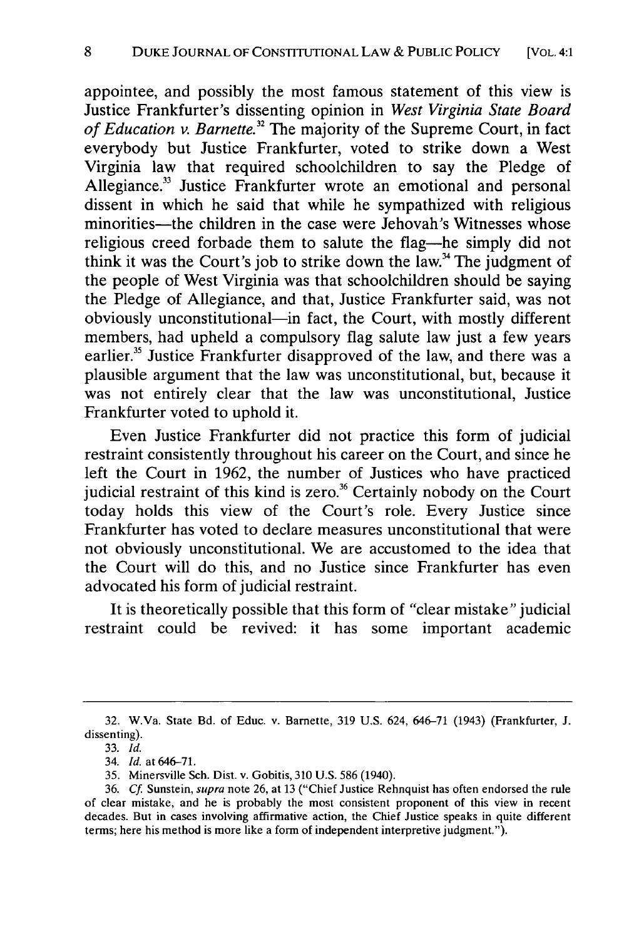appointee, and possibly the most famous statement of this view is Justice Frankfurter's dissenting opinion in *West Virginia State Board of Education v. Barnette.32* The majority of the Supreme Court, in fact everybody but Justice Frankfurter, voted to strike down a West Virginia law that required schoolchildren to say the Pledge of Allegiance.<sup>33</sup> Justice Frankfurter wrote an emotional and personal dissent in which he said that while he sympathized with religious minorities—the children in the case were Jehovah's Witnesses whose religious creed forbade them to salute the flag-he simply did not think it was the Court's job to strike down the law.<sup>34</sup> The judgment of the people of West Virginia was that schoolchildren should be saying the Pledge of Allegiance, and that, Justice Frankfurter said, was not obviously unconstitutional-in fact, the Court, with mostly different members, had upheld a compulsory flag salute law just a few years earlier.<sup>35</sup> Justice Frankfurter disapproved of the law, and there was a plausible argument that the law was unconstitutional, but, because it was not entirely clear that the law was unconstitutional, Justice Frankfurter voted to uphold it.

Even Justice Frankfurter did not practice this form of judicial restraint consistently throughout his career on the Court, and since he left the Court in 1962, the number of Justices who have practiced judicial restraint of this kind is zero.<sup>36</sup> Certainly nobody on the Court today holds this view of the Court's role. Every Justice since Frankfurter has voted to declare measures unconstitutional that were not obviously unconstitutional. We are accustomed to the idea that the Court will do this, and no Justice since Frankfurter has even advocated his form of judicial restraint.

It is theoretically possible that this form of "clear mistake" judicial restraint could be revived: it has some important academic

<sup>32.</sup> W.Va. State Bd. of Educ. v. Barnette, 319 U.S. 624, 646-71 (1943) (Frankfurter, J. dissenting).

<sup>33.</sup> *Id.*

<sup>34.</sup> *Id.* at 646-71.

<sup>35.</sup> Minersville Sch. Dist. v. Gobitis, 310 U.S. 586 (1940).

<sup>36.</sup> *Cf.* Sunstein, *supra* note 26, at 13 ("Chief Justice Rehnquist has often endorsed the rule of clear mistake, and he is probably the most consistent proponent of this view in recent decades. But in cases involving affirmative action, the Chief Justice speaks in quite different terms; here his method is more like a form of independent interpretive judgment.").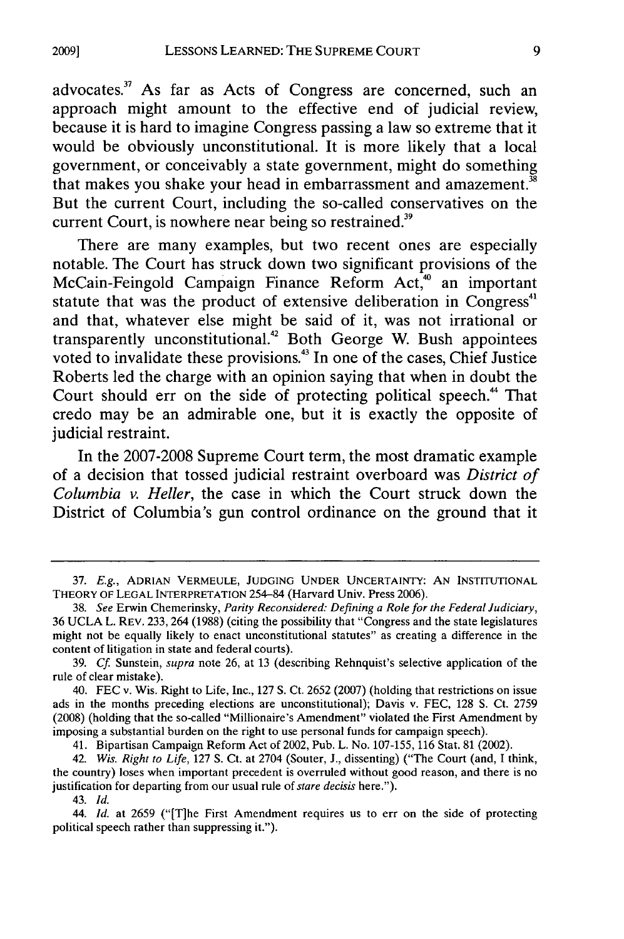advocates.<sup>37</sup> As far as Acts of Congress are concerned, such an approach might amount to the effective end of judicial review, because it is hard to imagine Congress passing a law so extreme that it would be obviously unconstitutional. It is more likely that a local government, or conceivably a state government, might do something that makes you shake your head in embarrassment and amazement.<sup>38</sup> But the current Court, including the so-called conservatives on the current Court, is nowhere near being so restrained.<sup>39</sup>

There are many examples, but two recent ones are especially notable. The Court has struck down two significant provisions of the McCain-Feingold Campaign Finance Reform Act,<sup>40</sup> an important statute that was the product of extensive deliberation in Congress<sup>41</sup> and that, whatever else might be said of it, was not irrational or transparently unconstitutional.<sup>42</sup> Both George W. Bush appointees voted to invalidate these provisions.<sup>43</sup> In one of the cases, Chief Justice Roberts led the charge with an opinion saying that when in doubt the Court should err on the side of protecting political speech.<sup>44</sup> That credo may be an admirable one, but it is exactly the opposite of judicial restraint.

In the **2007-2008** Supreme Court term, the most dramatic example of a decision that tossed judicial restraint overboard was *District of Columbia v. Heller,* the case in which the Court struck down the District of Columbia's gun control ordinance on the ground that it

41. Bipartisan Campaign Reform Act of 2002, Pub. L. No. 107-155, 116 Stat. 81 (2002).

44. *Id.* at 2659 ("[Tlhe First Amendment requires us to err on the side of protecting political speech rather than suppressing it.").

<sup>37.</sup> *E.g.,* ADRIAN VERMEULE, JUDGING **UNDER** UNCERTAINTY: **AN** INSTITUTIONAL THEORY OF LEGAL INTERPRETATION 254-84 (Harvard Univ. Press 2006).

<sup>38.</sup> *See* Erwin Chemerinsky, *Parity Reconsidered: Defining a Role for the Federal Judiciary,* 36 UCLA L. REV. 233, 264 (1988) (citing the possibility that "Congress and the state legislatures might not be equally likely to enact unconstitutional statutes" as creating a difference in the content of litigation in state and federal courts).

<sup>39.</sup> *Cf* Sunstein, *supra* note **26,** at **13** (describing Rehnquist's selective application of the rule of clear mistake).

<sup>40.</sup> FEC v. Wis. Right to Life, Inc., 127 **S.** Ct. 2652 (2007) (holding that restrictions on issue ads in the months preceding elections are unconstitutional); Davis v. FEC, 128 **S.** Ct. 2759 (2008) (holding that the so-called "Millionaire's Amendment" violated the First Amendment **by** imposing a substantial burden on the right to use personal funds for campaign speech).

<sup>42.</sup> *Wis. Right to Life,* 127 **S.** Ct. at 2704 (Souter, **J.,** dissenting) ("The Court (and, **I** think, the country) loses when important precedent is overruled without good reason, and there is no justification for departing from our usual rule of *stare decisis* here.").

<sup>43.</sup> *Id.*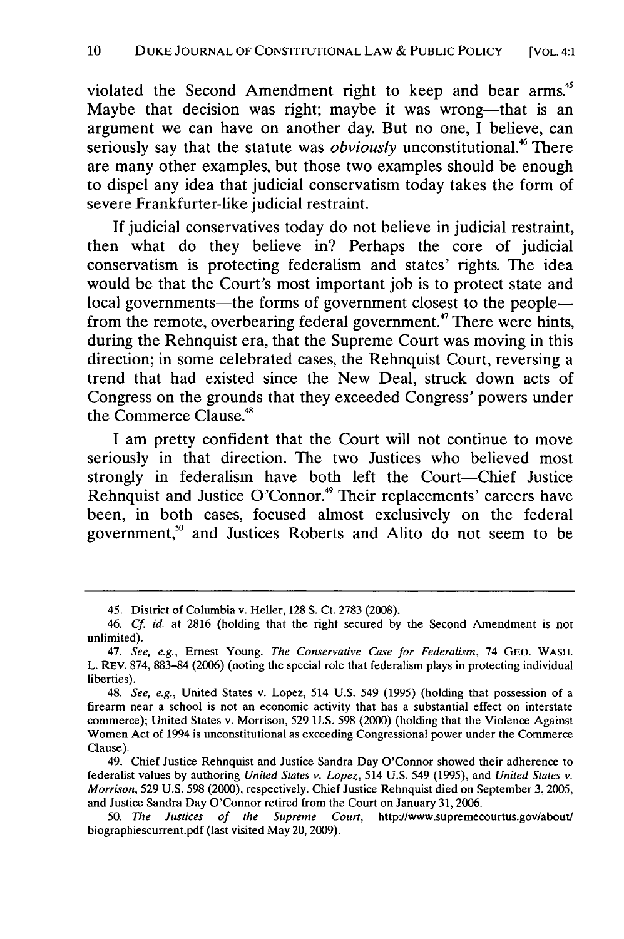violated the Second Amendment right to keep and bear arms.<sup>45</sup> Maybe that decision was right; maybe it was wrong—that is an argument we can have on another day. But no one, **I** believe, can seriously say that the statute was *obviously* unconstitutional.<sup>46</sup> There are many other examples, but those two examples should be enough to dispel any idea that judicial conservatism today takes the form of severe Frankfurter-like judicial restraint.

**If** judicial conservatives today do not believe in judicial restraint, then what do they believe in? Perhaps the core of judicial conservatism is protecting federalism and states' rights. The idea would be that the Court's most important **job** is to protect state and local governments—the forms of government closest to the people from the remote, overbearing federal government.<sup>47</sup> There were hints, during the Rehnquist era, that the Supreme Court was moving in this direction; in some celebrated cases, the Rehnquist Court, reversing a trend that had existed since the New Deal, struck down acts of Congress on the grounds that they exceeded Congress' powers under the Commerce Clause.<sup>48</sup>

**I** am pretty confident that the Court will not continue to move seriously in that direction. The two Justices who believed most strongly in federalism have both left the Court-Chief Justice Rehnquist and Justice O'Connor.<sup>49</sup> Their replacements' careers have been, in both cases, focused almost exclusively on the federal government," and Justices Roberts and Alito do not seem to be

49. Chief Justice Rehnquist and Justice Sandra Day O'Connor showed their adherence to federalist values **by** authoring *United States v. Lopez,* 514 U.S. 549 (1995), and *United States v. Morrison,* 529 U.S. 598 (2000), respectively. Chief Justice Rehnquist died on September 3, 2005, and Justice Sandra Day O'Connor retired from the Court on January 31, 2006.

50. *The Justices of the Supreme Court,* http://www.supremecourtus.gov/aboutl biographiescurrent.pdf (last visited May 20, 2009).

<sup>45.</sup> District of Columbia v. Heller, 128 **S.** Ct. 2783 (2008).

<sup>46.</sup> *Cf id.* at 2816 (holding that the right secured **by** the Second Amendment is not unlimited).

<sup>47.</sup> See, e.g., Ernest Young, *The Conservative Case for Federalism,* 74 GEO. WASH. L. REV. 874, 883-84 (2006) (noting the special role that federalism plays in protecting individual liberties).

<sup>48.</sup> *See, e.g.,* United States v. Lopez, 514 U.S. 549 (1995) (holding that possession of a firearm near a school is not an economic activity that has a substantial effect on interstate commerce); United States v. Morrison, 529 U.S. 598 (2000) (holding that the Violence Against Women Act of 1994 is unconstitutional as exceeding Congressional power under the Commerce Clause).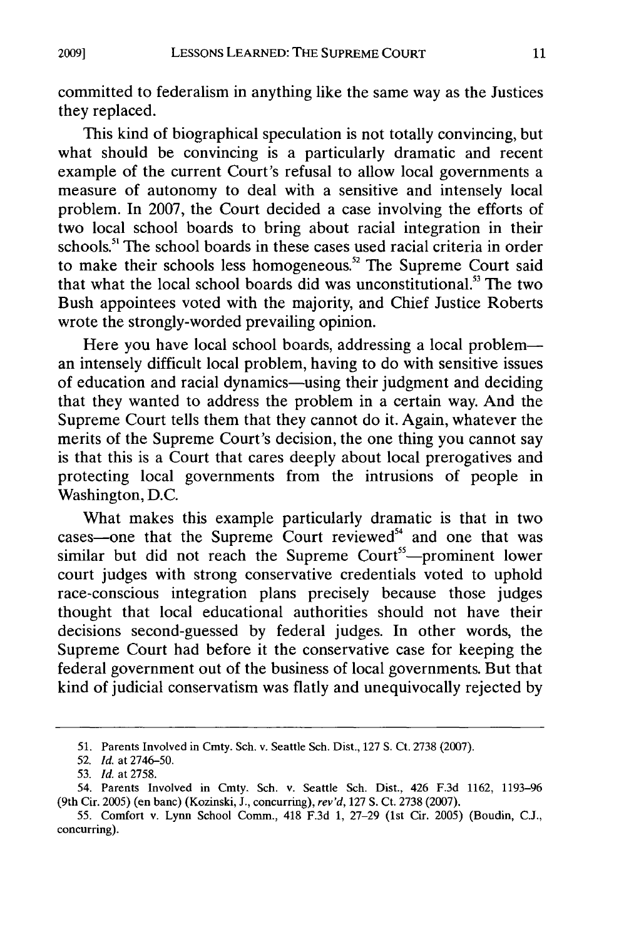committed to federalism in anything like the same way as the Justices they replaced.

This kind of biographical speculation is not totally convincing, but what should be convincing is a particularly dramatic and recent example of the current Court's refusal to allow local governments a measure of autonomy to deal with a sensitive and intensely local problem. In 2007, the Court decided a case involving the efforts of two local school boards to bring about racial integration in their schools.<sup>51</sup> The school boards in these cases used racial criteria in order to make their schools less homogeneous.<sup>52</sup> The Supreme Court said that what the local school boards did was unconstitutional.<sup>53</sup> The two Bush appointees voted with the majority, and Chief Justice Roberts wrote the strongly-worded prevailing opinion.

Here you have local school boards, addressing a local probleman intensely difficult local problem, having to do with sensitive issues of education and racial dynamics-using their judgment and deciding that they wanted to address the problem in a certain way. And the Supreme Court tells them that they cannot do it. Again, whatever the merits of the Supreme Court's decision, the one thing you cannot say is that this is a Court that cares deeply about local prerogatives and protecting local governments from the intrusions of people in Washington, D.C.

What makes this example particularly dramatic is that in two  $cases$ —one that the Supreme Court reviewed $54$  and one that was similar but did not reach the Supreme Court<sup>55</sup>—prominent lower court judges with strong conservative credentials voted to uphold race-conscious integration plans precisely because those judges thought that local educational authorities should not have their decisions second-guessed by federal judges. In other words, the Supreme Court had before it the conservative case for keeping the federal government out of the business of local governments. But that kind of judicial conservatism was flatly and unequivocally rejected by

<sup>51.</sup> Parents Involved in Cmty. Sch. v. Seattle Sch. Dist., 127 **S.** Ct. 2738 (2007).

<sup>52.</sup> *Id.* at 2746-50.

<sup>53.</sup> *Id.* at 2758.

<sup>54.</sup> Parents Involved in Cmty. Sch. v. Seattle Sch. Dist., 426 **F.3d 1162, 1193-96** (9th Cir. **2005)** (en banc) (Kozinski, **J.,** concurring), *rev'd,* 127 **S.** Ct. **2738 (2007).**

**<sup>55.</sup>** Comfort v. Lynn School Comm., 418 **F.3d 1, 27-29** (1st Cir. **2005)** (Boudin, **C.J.,** concurring).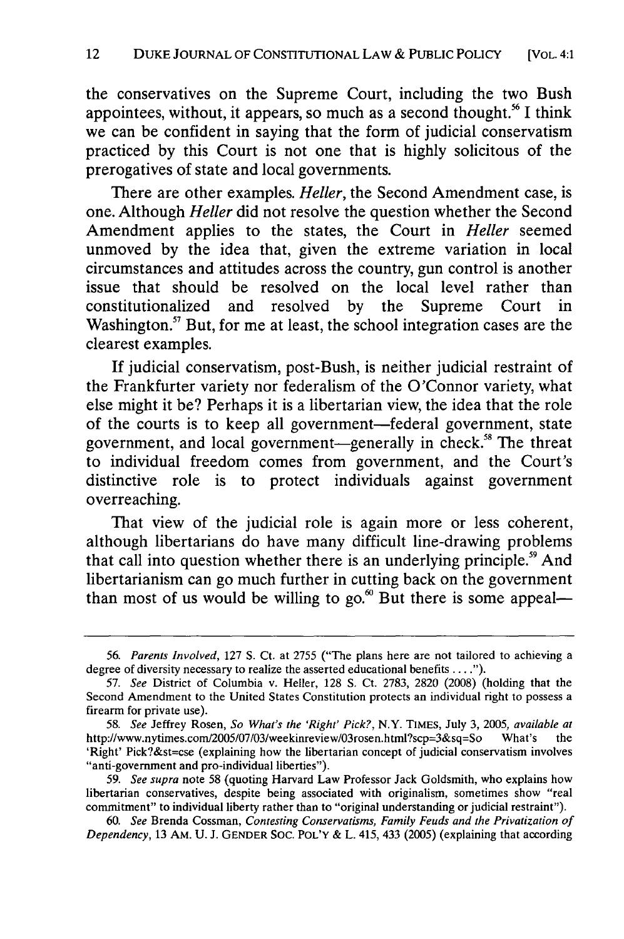the conservatives on the Supreme Court, including the two Bush appointees, without, it appears, so much as a second thought.<sup>56</sup> I think we can be confident in saying that the form of judicial conservatism practiced by this Court is not one that is highly solicitous of the prerogatives of state and local governments.

There are other examples. *Heller,* the Second Amendment case, is one. Although *Heller* did not resolve the question whether the Second Amendment applies to the states, the Court in *Heller* seemed unmoved by the idea that, given the extreme variation in local circumstances and attitudes across the country, gun control is another issue that should be resolved on the local level rather than constitutionalized and resolved by the Supreme Court in Washington. $57$  But, for me at least, the school integration cases are the clearest examples.

If judicial conservatism, post-Bush, is neither judicial restraint of the Frankfurter variety nor federalism of the O'Connor variety, what else might it be? Perhaps it is a libertarian view, the idea that the role of the courts is to keep all government-federal government, state government, and local government—generally in check.<sup>58</sup> The threat to individual freedom comes from government, and the Court's distinctive role is to protect individuals against government overreaching.

That view of the judicial role is again more or less coherent, although libertarians do have many difficult line-drawing problems that call into question whether there is an underlying principle.<sup>59</sup> And libertarianism can go much further in cutting back on the government than most of us would be willing to go. $\omega$  But there is some appeal—

*<sup>56.</sup> Parents Involved,* 127 **S.** Ct. at 2755 ("The plans here are not tailored to achieving a degree of diversity necessary to realize the asserted educational benefits **.... ").**

<sup>57.</sup> *See* District of Columbia v. Heller, 128 **S.** Ct. 2783, 2820 (2008) (holding that the Second Amendment to the United States Constitution protects an individual right to possess a firearm for private use).

*<sup>58.</sup> See* Jeffrey Rosen, *So What's the 'Right' Pick?,* N.Y. TIMES, July 3, 2005, *available at* http://www.nytimes.com/200S/07/03/weekinreview/O3rosen.html?scp=3&sq=So What's the 'Right' Pick?&st=cse (explaining how the libertarian concept of judicial conservatism involves "anti-government and pro-individual liberties").

<sup>59.</sup> *See supra* note 58 (quoting Harvard Law Professor Jack Goldsmith, who explains how libertarian conservatives, despite being associated with originalism, sometimes show "real commitment" to individual liberty rather than to "original understanding or judicial restraint").

<sup>60.</sup> *See* Brenda Cossman, *Contesting Conservatisms, Family Feuds and the Privatization of Dependency,* 13 AM. U. **J.** GENDER SOC. POL'Y & L. 415, 433 (2005) (explaining that according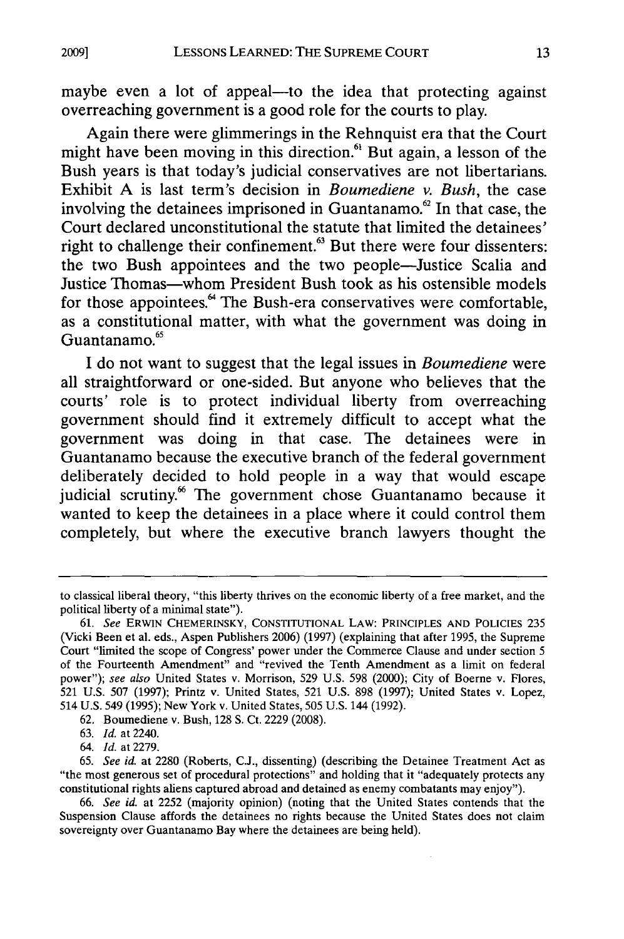maybe even a lot of appeal—to the idea that protecting against overreaching government is a good role for the courts to play.

Again there were glimmerings in the Rehnquist era that the Court might have been moving in this direction.<sup>61</sup> But again, a lesson of the Bush years is that today's judicial conservatives are not libertarians. Exhibit A is last term's decision in *Boumediene v. Bush,* the case involving the detainees imprisoned in Guantanamo. $62$  In that case, the Court declared unconstitutional the statute that limited the detainees' right to challenge their confinement.<sup>63</sup> But there were four dissenters: the two Bush appointees and the two people-Justice Scalia and Justice Thomas-whom President Bush took as his ostensible models for those appointees.<sup>64</sup> The Bush-era conservatives were comfortable, as a constitutional matter, with what the government was doing in 6 Guantanamo.

I do not want to suggest that the legal issues in *Boumediene* were all straightforward or one-sided. But anyone who believes that the courts' role is to protect individual liberty from overreaching government should find it extremely difficult to accept what the government was doing in that case. The detainees were in Guantanamo because the executive branch of the federal government deliberately decided to hold people in a way that would escape judicial scrutiny.<sup>66</sup> The government chose Guantanamo because it wanted to keep the detainees in a place where it could control them completely, but where the executive branch lawyers thought the

to classical liberal theory, "this liberty thrives on the economic liberty of a free market, and the political liberty of a minimal state").

**<sup>61.</sup>** *See* ERWIN CHEMERINSKY, CONSTtTUTIONAL LAW: PRINCIPLES **AND** POLICIES 235 (Vicki Been et al. eds., Aspen Publishers 2006) (1997) (explaining that after 1995, the Supreme Court "limited the scope of Congress' power under the Commerce Clause and under section 5 of the Fourteenth Amendment" and "revived the Tenth Amendment as a limit on federal power"); *see also* United States v. Morrison, 529 U.S. 598 (2000); City of Boerne v. Flores, 521 U.S. 507 (1997); Printz v. United States, 521 U.S. 898 (1997); United States v. Lopez, 514 U.S. 549 (1995); New York v. United States, 505 U.S. 144 (1992).

<sup>62.</sup> Boumediene v. Bush, 128 **S.** Ct. 2229 (2008).

<sup>63.</sup> *Id.* at 2240.

<sup>64.</sup> *Id.* at 2279.

<sup>65.</sup> *See id.* at 2280 (Roberts, C.J., dissenting) (describing the Detainee Treatment Act as "the most generous set of procedural protections" and holding that it "adequately protects any constitutional rights aliens captured abroad and detained as enemy combatants may enjoy").

<sup>66.</sup> *See id.* at 2252 (majority opinion) (noting that the United States contends that the Suspension Clause affords the detainees no rights because the United States does not claim sovereignty over Guantanamo Bay where the detainees are being held).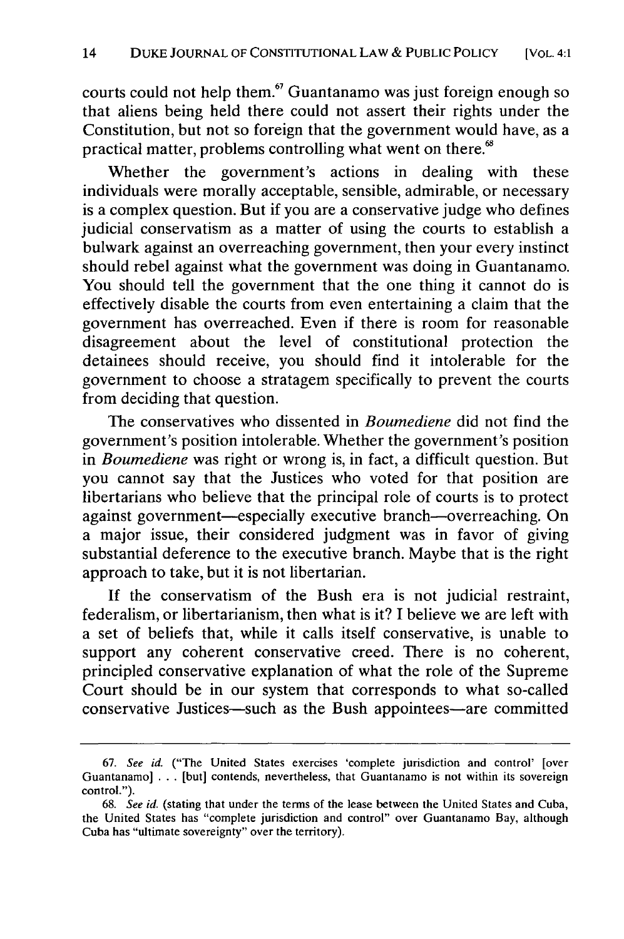courts could not help them.<sup>67</sup> Guantanamo was just foreign enough so that aliens being held there could not assert their rights under the Constitution, but not so foreign that the government would have, as a practical matter, problems controlling what went on there.<sup>68</sup>

Whether the government's actions in dealing with these individuals were morally acceptable, sensible, admirable, or necessary is a complex question. But if you are a conservative judge who defines judicial conservatism as a matter of using the courts to establish a bulwark against an overreaching government, then your every instinct should rebel against what the government was doing in Guantanamo. You should tell the government that the one thing it cannot do is effectively disable the courts from even entertaining a claim that the government has overreached. Even if there is room for reasonable disagreement about the level of constitutional protection the detainees should receive, you should find it intolerable for the government to choose a stratagem specifically to prevent the courts from deciding that question.

The conservatives who dissented in *Boumediene* did not find the government's position intolerable. Whether the government's position in *Boumediene* was right or wrong is, in fact, a difficult question. But you cannot say that the Justices who voted for that position are libertarians who believe that the principal role of courts is to protect against government-especially executive branch-overreaching. On a major issue, their considered judgment was in favor of giving substantial deference to the executive branch. Maybe that is the right approach to take, but it is not libertarian.

If the conservatism of the Bush era is not judicial restraint, federalism, or libertarianism, then what is it? I believe we are left with a set of beliefs that, while it calls itself conservative, is unable to support any coherent conservative creed. There is no coherent, principled conservative explanation of what the role of the Supreme Court should be in our system that corresponds to what so-called conservative Justices-such as the Bush appointees-are committed

<sup>67.</sup> See id. ("The United States exercises 'complete jurisdiction and control' [over Guantanamo] . . . [but] contends, nevertheless, that Guantanamo is not within its sovereign control.").

**<sup>68.</sup>** See id. (stating that under the terms of the lease between the United States and Cuba, the United States has "complete jurisdiction and control" over Guantanamo Bay, although Cuba has "ultimate sovereignty" over the territory).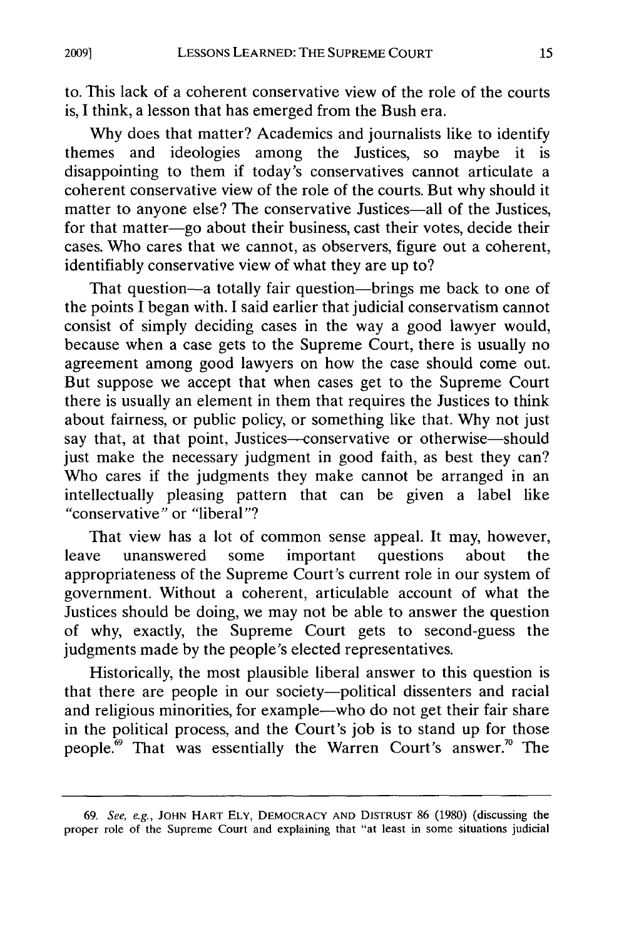to. This lack of a coherent conservative view of the role of the courts is, I think, a lesson that has emerged from the Bush era.

Why does that matter? Academics and journalists like to identify themes and ideologies among the Justices, so maybe it is disappointing to them if today's conservatives cannot articulate a coherent conservative view of the role of the courts. But why should it matter to anyone else? The conservative Justices—all of the Justices, for that matter-go about their business, cast their votes, decide their cases. Who cares that we cannot, as observers, figure out a coherent, identifiably conservative view of what they are up to?

That question-a totally fair question-brings me back to one of the points I began with. I said earlier that judicial conservatism cannot consist of simply deciding cases in the way a good lawyer would, because when a case gets to the Supreme Court, there is usually no agreement among good lawyers on how the case should come out. But suppose we accept that when cases get to the Supreme Court there is usually an element in them that requires the Justices to think about fairness, or public policy, or something like that. Why not just say that, at that point, Justices-conservative or otherwise-should just make the necessary judgment in good faith, as best they can? Who cares if the judgments they make cannot be arranged in an intellectually pleasing pattern that can be given a label like "conservative" or "liberal"?

That view has a lot of common sense appeal. It may, however, leave unanswered some important questions about the appropriateness of the Supreme Court's current role in our system of government. Without a coherent, articulable account of what the Justices should be doing, we may not be able to answer the question of why, exactly, the Supreme Court gets to second-guess the judgments made by the people's elected representatives.

Historically, the most plausible liberal answer to this question is that there are people in our society-political dissenters and racial and religious minorities, for example—who do not get their fair share in the political process, and the Court's job is to stand up for those people.<sup>69</sup> That was essentially the Warren Court's answer.<sup>70</sup> The

<sup>69.</sup> See, e.g., **JOHN** HART ELY, DEMOCRACY **AND DISTRUST 86 (1980)** (discussing the proper role of the Supreme Court and explaining that "at least in some situations judicial